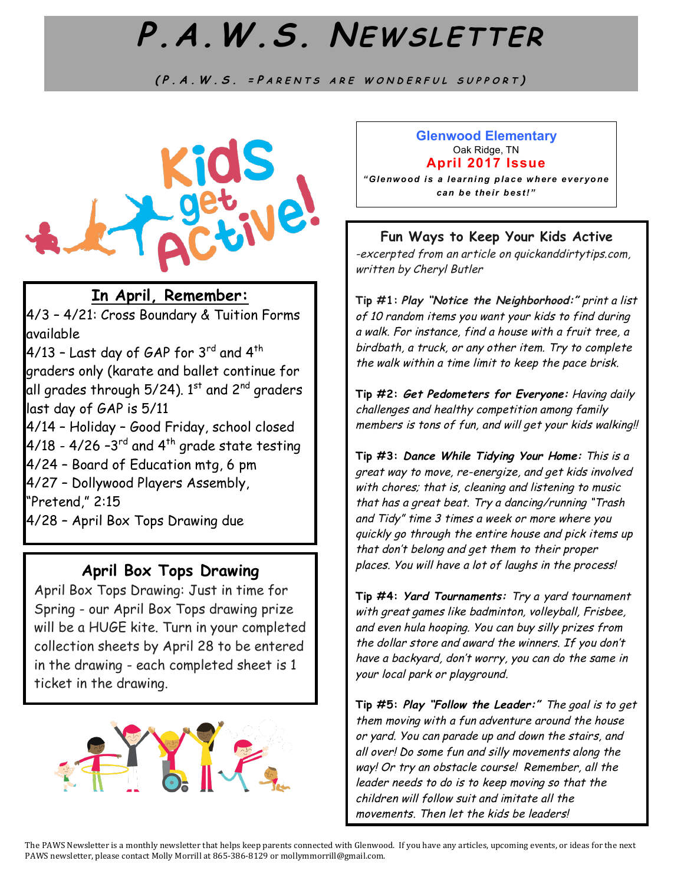# **P.A.W.S. NEWSLETTER**

**(P.A.W.S. <sup>=</sup> P ARENTS ARE WONDERFUL SUPPORT )**

 $\overline{a}$ 



## **In April, Remember:**

4/3 – 4/21: Cross Boundary & Tuition Forms available

 $4/13$  – Last day of GAP for  $3^{\text{rd}}$  and  $4^{\text{th}}$ graders only (karate and ballet continue for all grades through 5/24).  $1^{st}$  and 2<sup>nd</sup> graders last day of GAP is 5/11

4/14 – Holiday – Good Friday, school closed 4/18 - 4/26 -3 $^{\text{rd}}$  and 4<sup>th</sup> grade state testing

4/24 – Board of Education mtg, 6 pm

4/27 – Dollywood Players Assembly,

"Pretend," 2:15

4/28 – April Box Tops Drawing due

## **April Box Tops Drawing**

April Box Tops Drawing: Just in time for Spring - our April Box Tops drawing prize will be a HUGE kite. Turn in your completed collection sheets by April 28 to be entered in the drawing - each completed sheet is 1 ticket in the drawing.



#### **Glenwood Elementary** Oak Ridge, TN **April 2017 Issue**

*"Glenwood is a learning place where everyone can be their best!"*

#### **Fun Ways to Keep Your Kids Active**

-excerpted from an article on quickanddirtytips.com, written by Cheryl Butler

**Tip #1: Play "Notice the Neighborhood:"** print a list of 10 random items you want your kids to find during a walk. For instance, find a house with a fruit tree, a birdbath, a truck, or any other item. Try to complete the walk within a time limit to keep the pace brisk.

**Tip #2: Get Pedometers for Everyone:** Having daily challenges and healthy competition among family members is tons of fun, and will get your kids walking!!

**Tip #3: Dance While Tidying Your Home:** This is a great way to move, re-energize, and get kids involved with chores; that is, cleaning and listening to music that has a great beat. Try a dancing/running "Trash and Tidy" time 3 times a week or more where you quickly go through the entire house and pick items up that don't belong and get them to their proper places. You will have a lot of laughs in the process!

**Tip #4: Yard Tournaments:** Try a yard tournament with great games like badminton, volleyball, Frisbee, and even hula hooping. You can buy silly prizes from the dollar store and award the winners. If you don't have a backyard, don't worry, you can do the same in your local park or playground.

**Tip #5: Play "Follow the Leader:"** The goal is to get them moving with a fun adventure around the house or yard. You can parade up and down the stairs, and all over! Do some fun and silly movements along the way! Or try an obstacle course! Remember, all the leader needs to do is to keep moving so that the children will follow suit and imitate all the movements. Then let the kids be leaders!

The PAWS Newsletter is a monthly newsletter that helps keep parents connected with Glenwood. If you have any articles, upcoming events, or ideas for the next PAWS newsletter, please contact Molly Morrill at 865-386-8129 or mollymmorrill@gmail.com.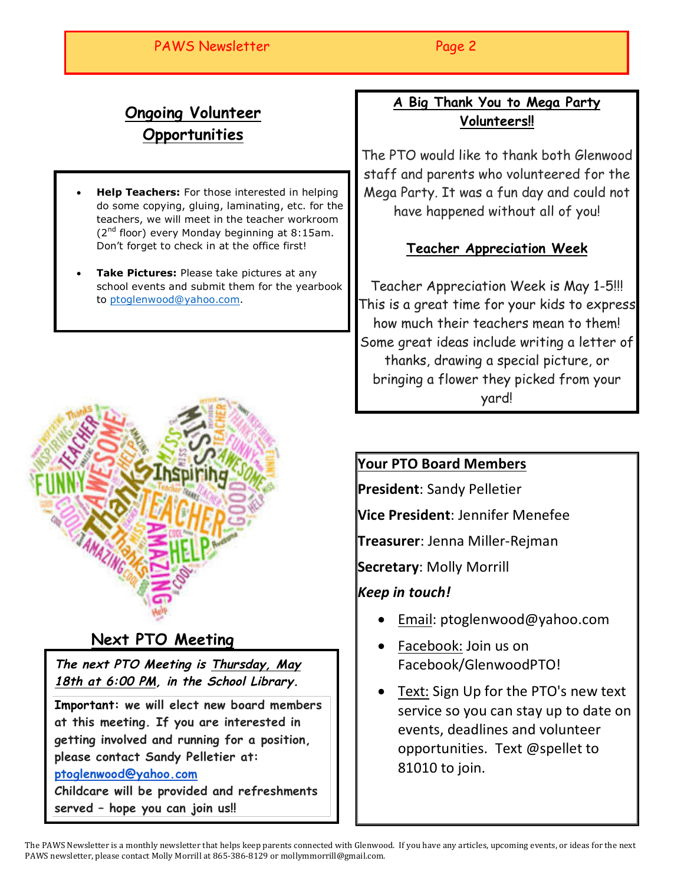### PAWS Newsletter experience of the Page 2

## **Ongoing Volunteer Opportunities**

- **Help Teachers:** For those interested in helping do some copying, gluing, laminating, etc. for the teachers, we will meet in the teacher workroom  $(2^{nd}$  floor) every Monday beginning at 8:15am. Don't forget to check in at the office first!
- **Take Pictures:** Please take pictures at any school events and submit them for the yearbook to ptoglenwood@yahoo.com.



## **Next PTO Meeting**

**The next PTO Meeting is Thursday, May 18th at 6:00 PM, in the School Library.**

**Important: we will elect new board members at this meeting. If you are interested in getting involved and running for a position, please contact Sandy Pelletier at: ptoglenwood@yahoo.com**

**Childcare will be provided and refreshments served – hope you can join us!!**

## **A Big Thank You to Mega Party Volunteers!!**

The PTO would like to thank both Glenwood staff and parents who volunteered for the Mega Party. It was a fun day and could not have happened without all of you!

## **Teacher Appreciation Week**

Teacher Appreciation Week is May 1-5!!! This is a great time for your kids to express how much their teachers mean to them! Some great ideas include writing a letter of thanks, drawing a special picture, or bringing a flower they picked from your yard!

## **Your PTO Board Members**

**President:** Sandy Pelletier

**Vice President**: Jennifer Menefee

**Treasurer**: Jenna Miller-Rejman

**Secretary: Molly Morrill** 

## *Keep in touch!*

- Email: ptoglenwood@yahoo.com
- Facebook: Join us on Facebook/GlenwoodPTO!
- Text: Sign Up for the PTO's new text service so you can stay up to date on events, deadlines and volunteer opportunities. Text @spellet to 81010 to join.

The PAWS Newsletter is a monthly newsletter that helps keep parents connected with Glenwood. If you have any articles, upcoming events, or ideas for the next PAWS newsletter, please contact Molly Morrill at 865-386-8129 or mollymmorrill@gmail.com.